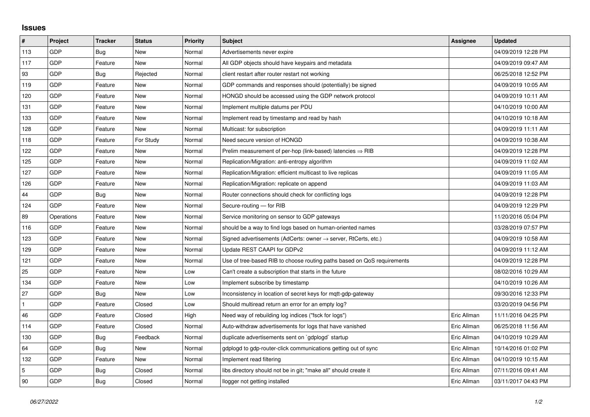## **Issues**

| #   | Project    | <b>Tracker</b> | <b>Status</b> | <b>Priority</b> | <b>Subject</b>                                                             | Assignee    | <b>Updated</b>      |
|-----|------------|----------------|---------------|-----------------|----------------------------------------------------------------------------|-------------|---------------------|
| 113 | GDP        | Bug            | <b>New</b>    | Normal          | Advertisements never expire                                                |             | 04/09/2019 12:28 PM |
| 117 | GDP        | Feature        | New           | Normal          | All GDP objects should have keypairs and metadata                          |             | 04/09/2019 09:47 AM |
| 93  | GDP        | <b>Bug</b>     | Rejected      | Normal          | client restart after router restart not working                            |             | 06/25/2018 12:52 PM |
| 119 | GDP        | Feature        | <b>New</b>    | Normal          | GDP commands and responses should (potentially) be signed                  |             | 04/09/2019 10:05 AM |
| 120 | GDP        | Feature        | New           | Normal          | HONGD should be accessed using the GDP network protocol                    |             | 04/09/2019 10:11 AM |
| 131 | GDP        | Feature        | New           | Normal          | Implement multiple datums per PDU                                          |             | 04/10/2019 10:00 AM |
| 133 | GDP        | Feature        | <b>New</b>    | Normal          | Implement read by timestamp and read by hash                               |             | 04/10/2019 10:18 AM |
| 128 | GDP        | Feature        | New           | Normal          | Multicast: for subscription                                                |             | 04/09/2019 11:11 AM |
| 118 | GDP        | Feature        | For Study     | Normal          | Need secure version of HONGD                                               |             | 04/09/2019 10:38 AM |
| 122 | GDP        | Feature        | New           | Normal          | Prelim measurement of per-hop (link-based) latencies $\Rightarrow$ RIB     |             | 04/09/2019 12:28 PM |
| 125 | GDP        | Feature        | New           | Normal          | Replication/Migration: anti-entropy algorithm                              |             | 04/09/2019 11:02 AM |
| 127 | GDP        | Feature        | New           | Normal          | Replication/Migration: efficient multicast to live replicas                |             | 04/09/2019 11:05 AM |
| 126 | GDP        | Feature        | New           | Normal          | Replication/Migration: replicate on append                                 |             | 04/09/2019 11:03 AM |
| 44  | GDP        | Bug            | New           | Normal          | Router connections should check for conflicting logs                       |             | 04/09/2019 12:28 PM |
| 124 | GDP        | Feature        | <b>New</b>    | Normal          | Secure-routing - for RIB                                                   |             | 04/09/2019 12:29 PM |
| 89  | Operations | Feature        | New           | Normal          | Service monitoring on sensor to GDP gateways                               |             | 11/20/2016 05:04 PM |
| 116 | GDP        | Feature        | New           | Normal          | should be a way to find logs based on human-oriented names                 |             | 03/28/2019 07:57 PM |
| 123 | GDP        | Feature        | New           | Normal          | Signed advertisements (AdCerts: owner $\rightarrow$ server, RtCerts, etc.) |             | 04/09/2019 10:58 AM |
| 129 | GDP        | Feature        | New           | Normal          | Update REST CAAPI for GDPv2                                                |             | 04/09/2019 11:12 AM |
| 121 | GDP        | Feature        | New           | Normal          | Use of tree-based RIB to choose routing paths based on QoS requirements    |             | 04/09/2019 12:28 PM |
| 25  | GDP        | Feature        | New           | Low             | Can't create a subscription that starts in the future                      |             | 08/02/2016 10:29 AM |
| 134 | GDP        | Feature        | New           | Low             | Implement subscribe by timestamp                                           |             | 04/10/2019 10:26 AM |
| 27  | GDP        | Bug            | <b>New</b>    | Low             | Inconsistency in location of secret keys for mqtt-gdp-gateway              |             | 09/30/2016 12:33 PM |
|     | GDP        | Feature        | Closed        | Low             | Should multiread return an error for an empty log?                         |             | 03/20/2019 04:56 PM |
| 46  | GDP        | Feature        | Closed        | High            | Need way of rebuilding log indices ("fsck for logs")                       | Eric Allman | 11/11/2016 04:25 PM |
| 114 | GDP        | Feature        | Closed        | Normal          | Auto-withdraw advertisements for logs that have vanished                   | Eric Allman | 06/25/2018 11:56 AM |
| 130 | GDP        | Bug            | Feedback      | Normal          | duplicate advertisements sent on `gdplogd` startup                         | Eric Allman | 04/10/2019 10:29 AM |
| 64  | GDP        | <b>Bug</b>     | New           | Normal          | gdplogd to gdp-router-click communications getting out of sync             | Eric Allman | 10/14/2016 01:02 PM |
| 132 | GDP        | Feature        | New           | Normal          | Implement read filtering                                                   | Eric Allman | 04/10/2019 10:15 AM |
| 5   | GDP        | Bug            | Closed        | Normal          | libs directory should not be in git; "make all" should create it           | Eric Allman | 07/11/2016 09:41 AM |
| 90  | GDP        | <b>Bug</b>     | Closed        | Normal          | llogger not getting installed                                              | Eric Allman | 03/11/2017 04:43 PM |